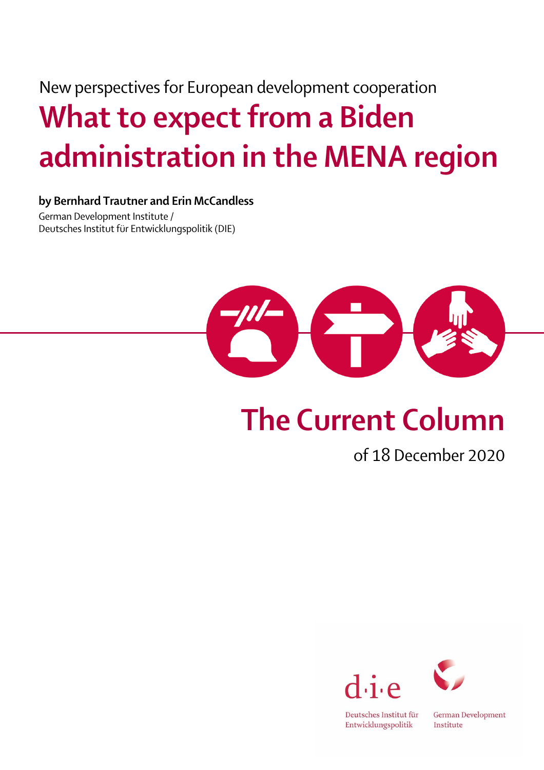## New perspectives for European development cooperation What to expect from a Biden administration in the MENA region

## by Bernhard Trautner and Erin McCandless

German Development Institute / Deutsches Institut für Entwicklungspolitik (DIE)



## The Current Column

## of 18 December 2020





Deutsches Institut für Entwicklungspolitik

German Development Institute